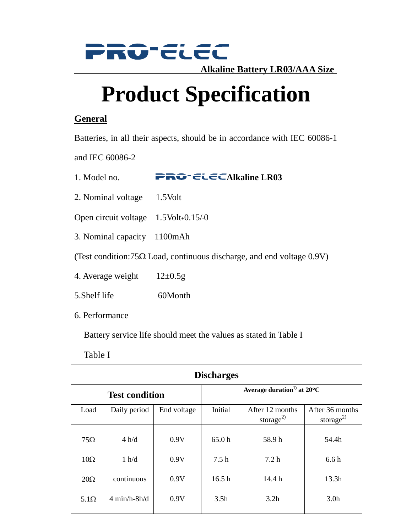

**Alkaline Battery LR03/AAA Size** 

# **Product Specification**

### **General**

Batteries, in all their aspects, should be in accordance with IEC 60086-1

and IEC 60086-2

1. Model no. **PRO-ELECAIkaline LR03** 

- 2. Nominal voltage 1.5Volt
- Open circuit voltage  $1.5$ Volt $\cdot$ 0.15/ $\cdot$ 0
- 3. Nominal capacity 1100mAh

(Test condition:75 $\Omega$  Load, continuous discharge, and end voltage 0.9V)

- 4. Average weight  $12\pm0.5g$
- 5. Shelf life 60Month
- 6. Performance

Battery service life should meet the values as stated in Table I

#### Table I

| <b>Discharges</b>     |                 |             |                                                  |                                          |                                          |  |  |  |
|-----------------------|-----------------|-------------|--------------------------------------------------|------------------------------------------|------------------------------------------|--|--|--|
| <b>Test condition</b> |                 |             | Average duration <sup>1)</sup> at $20^{\circ}$ C |                                          |                                          |  |  |  |
| Load                  | Daily period    | End voltage | Initial                                          | After 12 months<br>storage <sup>2)</sup> | After 36 months<br>storage <sup>2)</sup> |  |  |  |
| $75\Omega$            | 4 h/d           | 0.9V        | 65.0 <sub>h</sub>                                | 58.9h                                    | 54.4h                                    |  |  |  |
| $10\Omega$            | 1 h/d           | 0.9V        | 7.5h                                             | 7.2h                                     | 6.6h                                     |  |  |  |
| $20\Omega$            | continuous      | 0.9V        | 16.5 <sub>h</sub>                                | 14.4h                                    | 13.3h                                    |  |  |  |
| $5.1\Omega$           | $4 min/h-8 h/d$ | 0.9V        | 3.5 <sub>h</sub>                                 | 3.2 <sub>h</sub>                         | 3.0 <sub>h</sub>                         |  |  |  |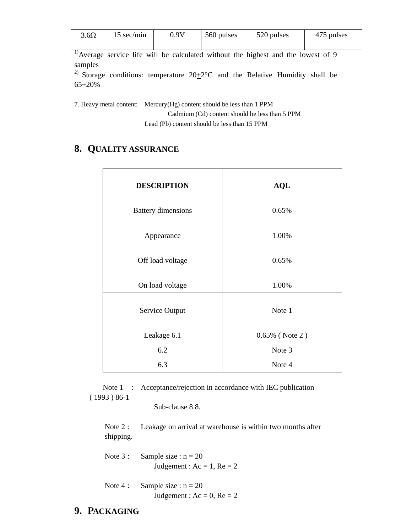| $3.6\Omega$ | 15 sec/min | 0 9V | 560 pulses | 520 pulses | 475 pulses |
|-------------|------------|------|------------|------------|------------|
|             |            |      |            |            |            |

<sup>1)</sup>Average service life will be calculated without the highest and the lowest of 9 samples

<sup>2)</sup> Storage conditions: temperature  $20\pm2^{\circ}\text{C}$  and the Relative Humidity shall be  $65 + 20%$ 

7. Heavy metal content: Mercury(Hg) content should be less than 1 PPM Cadmium (Cd) content should be less than 5 PPM Lead (Pb) content should be less than 15 PPM

## **8. QUALITY ASSURANCE**

| <b>DESCRIPTION</b>        | <b>AQL</b>        |  |
|---------------------------|-------------------|--|
| <b>Battery dimensions</b> | 0.65%             |  |
| Appearance                | 1.00%             |  |
| Off load voltage          | 0.65%             |  |
| On load voltage           | 1.00%             |  |
| Service Output            | Note 1            |  |
| Leakage 6.1               | $0.65\%$ (Note 2) |  |
| 6.2                       | Note 3            |  |
| 6.3                       | Note 4            |  |

Note 1 : Acceptance/rejection in accordance with IEC publication ( 1993 ) 86-1

Sub-clause 8.8.

Note 2 : Leakage on arrival at warehouse is within two months after shipping.

- Note  $3:$  Sample size :  $n = 20$ Judgement :  $Ac = 1$ ,  $Re = 2$
- Note 4 : Sample size :  $n = 20$ Judgement :  $Ac = 0$ ,  $Re = 2$
- **9. PACKAGING**